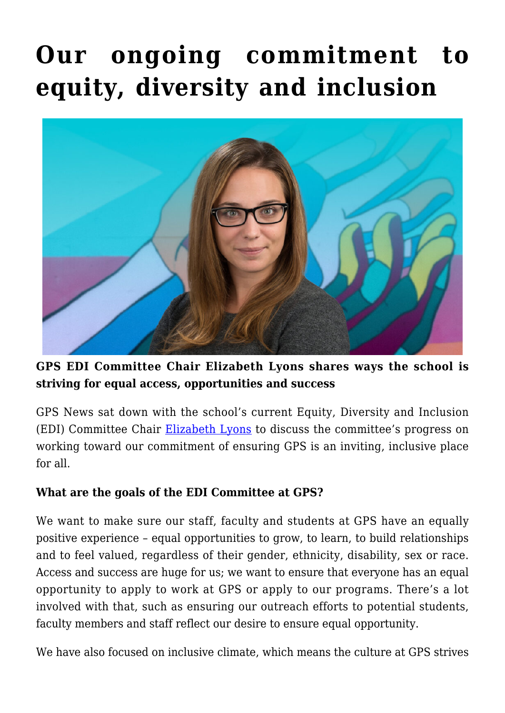# **[Our ongoing commitment to](https://gpsnews.ucsd.edu/our-ongoing-commitment-to-equity-diversity-and-inclusion/) [equity, diversity and inclusion](https://gpsnews.ucsd.edu/our-ongoing-commitment-to-equity-diversity-and-inclusion/)**



**GPS EDI Committee Chair Elizabeth Lyons shares ways the school is striving for equal access, opportunities and success**

GPS News sat down with the school's current Equity, Diversity and Inclusion (EDI) Committee Chair [Elizabeth Lyons](https://gps.ucsd.edu/faculty-directory/elizabeth-lyons.html) to discuss the committee's progress on working toward our commitment of ensuring GPS is an inviting, inclusive place for all.

#### **What are the goals of the EDI Committee at GPS?**

We want to make sure our staff, faculty and students at GPS have an equally positive experience – equal opportunities to grow, to learn, to build relationships and to feel valued, regardless of their gender, ethnicity, disability, sex or race. Access and success are huge for us; we want to ensure that everyone has an equal opportunity to apply to work at GPS or apply to our programs. There's a lot involved with that, such as ensuring our outreach efforts to potential students, faculty members and staff reflect our desire to ensure equal opportunity.

We have also focused on inclusive climate, which means the culture at GPS strives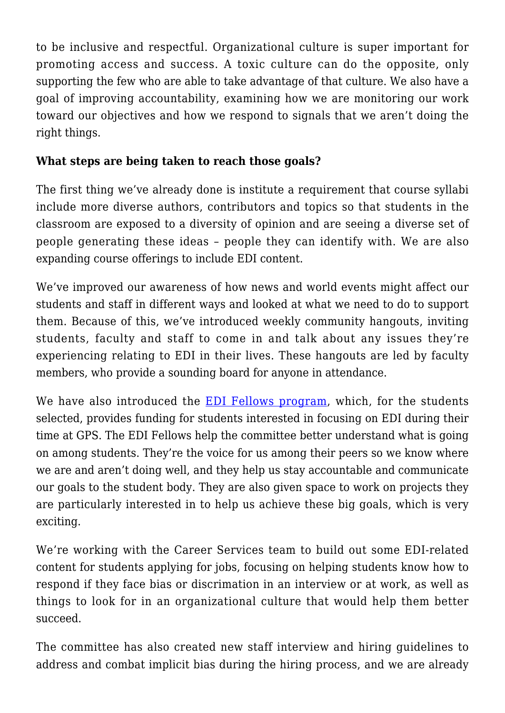to be inclusive and respectful. Organizational culture is super important for promoting access and success. A toxic culture can do the opposite, only supporting the few who are able to take advantage of that culture. We also have a goal of improving accountability, examining how we are monitoring our work toward our objectives and how we respond to signals that we aren't doing the right things.

## **What steps are being taken to reach those goals?**

The first thing we've already done is institute a requirement that course syllabi include more diverse authors, contributors and topics so that students in the classroom are exposed to a diversity of opinion and are seeing a diverse set of people generating these ideas – people they can identify with. We are also expanding course offerings to include EDI content.

We've improved our awareness of how news and world events might affect our students and staff in different ways and looked at what we need to do to support them. Because of this, we've introduced weekly community hangouts, inviting students, faculty and staff to come in and talk about any issues they're experiencing relating to EDI in their lives. These hangouts are led by faculty members, who provide a sounding board for anyone in attendance.

We have also introduced the [EDI Fellows program,](https://gpsnews.ucsd.edu/building-a-more-inclusive-space/) which, for the students selected, provides funding for students interested in focusing on EDI during their time at GPS. The EDI Fellows help the committee better understand what is going on among students. They're the voice for us among their peers so we know where we are and aren't doing well, and they help us stay accountable and communicate our goals to the student body. They are also given space to work on projects they are particularly interested in to help us achieve these big goals, which is very exciting.

We're working with the Career Services team to build out some EDI-related content for students applying for jobs, focusing on helping students know how to respond if they face bias or discrimation in an interview or at work, as well as things to look for in an organizational culture that would help them better succeed.

The committee has also created new staff interview and hiring guidelines to address and combat implicit bias during the hiring process, and we are already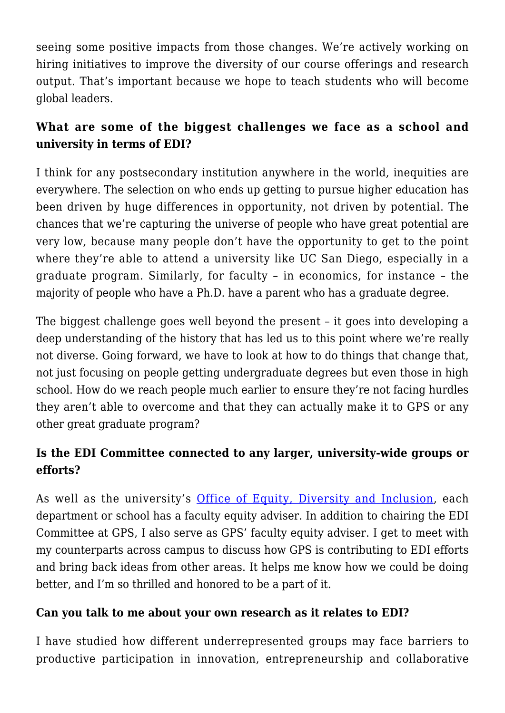seeing some positive impacts from those changes. We're actively working on hiring initiatives to improve the diversity of our course offerings and research output. That's important because we hope to teach students who will become global leaders.

# **What are some of the biggest challenges we face as a school and university in terms of EDI?**

I think for any postsecondary institution anywhere in the world, inequities are everywhere. The selection on who ends up getting to pursue higher education has been driven by huge differences in opportunity, not driven by potential. The chances that we're capturing the universe of people who have great potential are very low, because many people don't have the opportunity to get to the point where they're able to attend a university like UC San Diego, especially in a graduate program. Similarly, for faculty – in economics, for instance – the majority of people who have a Ph.D. have a parent who has a graduate degree.

The biggest challenge goes well beyond the present – it goes into developing a deep understanding of the history that has led us to this point where we're really not diverse. Going forward, we have to look at how to do things that change that, not just focusing on people getting undergraduate degrees but even those in high school. How do we reach people much earlier to ensure they're not facing hurdles they aren't able to overcome and that they can actually make it to GPS or any other great graduate program?

# **Is the EDI Committee connected to any larger, university-wide groups or efforts?**

As well as the university's [Office of Equity, Diversity and Inclusion](https://diversity.ucsd.edu/), each department or school has a faculty equity adviser. In addition to chairing the EDI Committee at GPS, I also serve as GPS' faculty equity adviser. I get to meet with my counterparts across campus to discuss how GPS is contributing to EDI efforts and bring back ideas from other areas. It helps me know how we could be doing better, and I'm so thrilled and honored to be a part of it.

#### **Can you talk to me about your own research as it relates to EDI?**

I have studied how different underrepresented groups may face barriers to productive participation in innovation, entrepreneurship and collaborative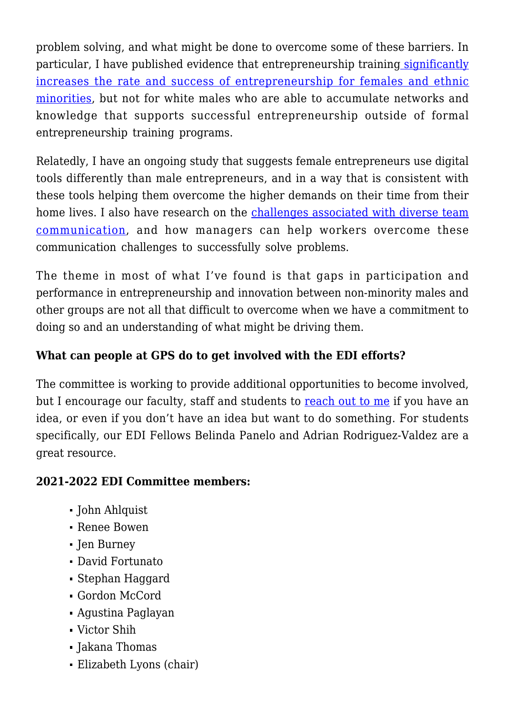problem solving, and what might be done to overcome some of these barriers. In particular, I have published evidence that entrepreneurship trainin[g significantly](https://www.aeaweb.org/articles?id=10.1257/aer.p20171008) [increases the rate and success of entrepreneurship for females and ethnic](https://www.aeaweb.org/articles?id=10.1257/aer.p20171008) [minorities](https://www.aeaweb.org/articles?id=10.1257/aer.p20171008), but not for white males who are able to accumulate networks and knowledge that supports successful entrepreneurship outside of formal entrepreneurship training programs.

Relatedly, I have an ongoing study that suggests female entrepreneurs use digital tools differently than male entrepreneurs, and in a way that is consistent with these tools helping them overcome the higher demands on their time from their home lives. I also have research on the [challenges associated with diverse team](https://www.aeaweb.org/articles?id=10.1257/app.20160179&&from=f) [communication,](https://www.aeaweb.org/articles?id=10.1257/app.20160179&&from=f) and how managers can help workers overcome these communication challenges to successfully solve problems.

The theme in most of what I've found is that gaps in participation and performance in entrepreneurship and innovation between non-minority males and other groups are not all that difficult to overcome when we have a commitment to doing so and an understanding of what might be driving them.

## **What can people at GPS do to get involved with the EDI efforts?**

The committee is working to provide additional opportunities to become involved, but I encourage our faculty, staff and students to [reach out to me](mailto:lizlyons@ucsd.edu) if you have an idea, or even if you don't have an idea but want to do something. For students specifically, our EDI Fellows Belinda Panelo and Adrian Rodriguez-Valdez are a great resource.

## **2021-2022 EDI Committee members:**

- John Ahlquist
- Renee Bowen
- Jen Burney
- David Fortunato
- Stephan Haggard
- Gordon McCord
- Agustina Paglayan
- Victor Shih
- Jakana Thomas
- Elizabeth Lyons (chair)